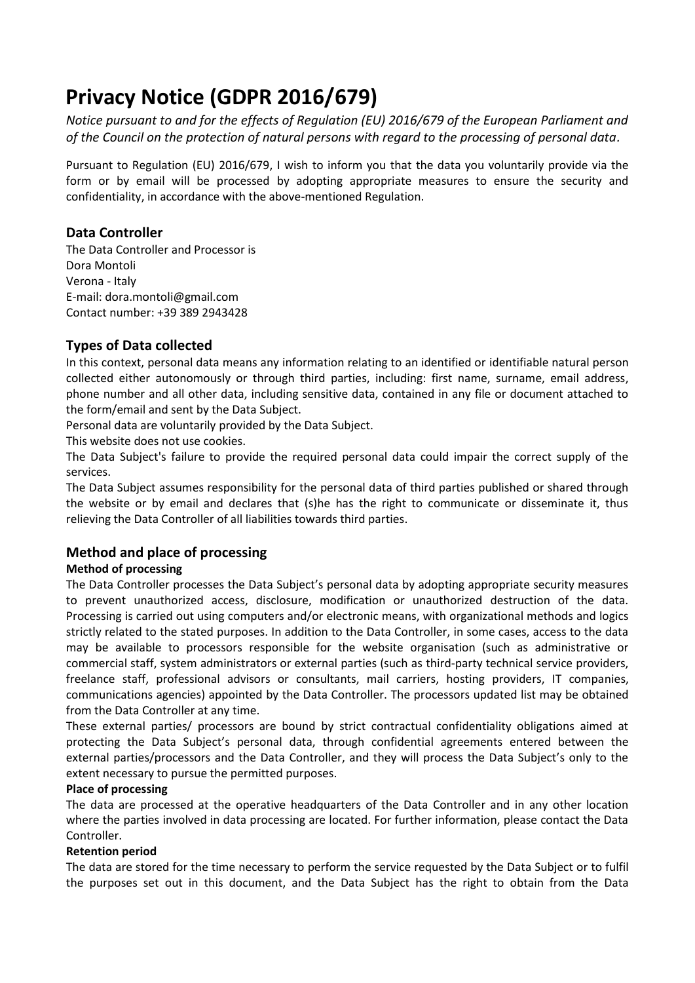# **Privacy Notice (GDPR 2016/679)**

*Notice pursuant to and for the effects of Regulation (EU) 2016/679 of the European Parliament and of the Council on the protection of natural persons with regard to the processing of personal data.*

Pursuant to Regulation (EU) 2016/679, I wish to inform you that the data you voluntarily provide via the form or by email will be processed by adopting appropriate measures to ensure the security and confidentiality, in accordance with the above-mentioned Regulation.

## **Data Controller**

The Data Controller and Processor is Dora Montoli Verona - Italy E-mail: dora.montoli@gmail.com Contact number: +39 389 2943428

## **Types of Data collected**

In this context, personal data means any information relating to an identified or identifiable natural person collected either autonomously or through third parties, including: first name, surname, email address, phone number and all other data, including sensitive data, contained in any file or document attached to the form/email and sent by the Data Subject.

Personal data are voluntarily provided by the Data Subject.

This website does not use cookies.

The Data Subject's failure to provide the required personal data could impair the correct supply of the services.

The Data Subject assumes responsibility for the personal data of third parties published or shared through the website or by email and declares that (s)he has the right to communicate or disseminate it, thus relieving the Data Controller of all liabilities towards third parties.

# **Method and place of processing**

## **Method of processing**

The Data Controller processes the Data Subject's personal data by adopting appropriate security measures to prevent unauthorized access, disclosure, modification or unauthorized destruction of the data. Processing is carried out using computers and/or electronic means, with organizational methods and logics strictly related to the stated purposes. In addition to the Data Controller, in some cases, access to the data may be available to processors responsible for the website organisation (such as administrative or commercial staff, system administrators or external parties (such as third-party technical service providers, freelance staff, professional advisors or consultants, mail carriers, hosting providers, IT companies, communications agencies) appointed by the Data Controller. The processors updated list may be obtained from the Data Controller at any time.

These external parties/ processors are bound by strict contractual confidentiality obligations aimed at protecting the Data Subject's personal data, through confidential agreements entered between the external parties/processors and the Data Controller, and they will process the Data Subject's only to the extent necessary to pursue the permitted purposes.

### **Place of processing**

The data are processed at the operative headquarters of the Data Controller and in any other location where the parties involved in data processing are located. For further information, please contact the Data Controller.

### **Retention period**

The data are stored for the time necessary to perform the service requested by the Data Subject or to fulfil the purposes set out in this document, and the Data Subject has the right to obtain from the Data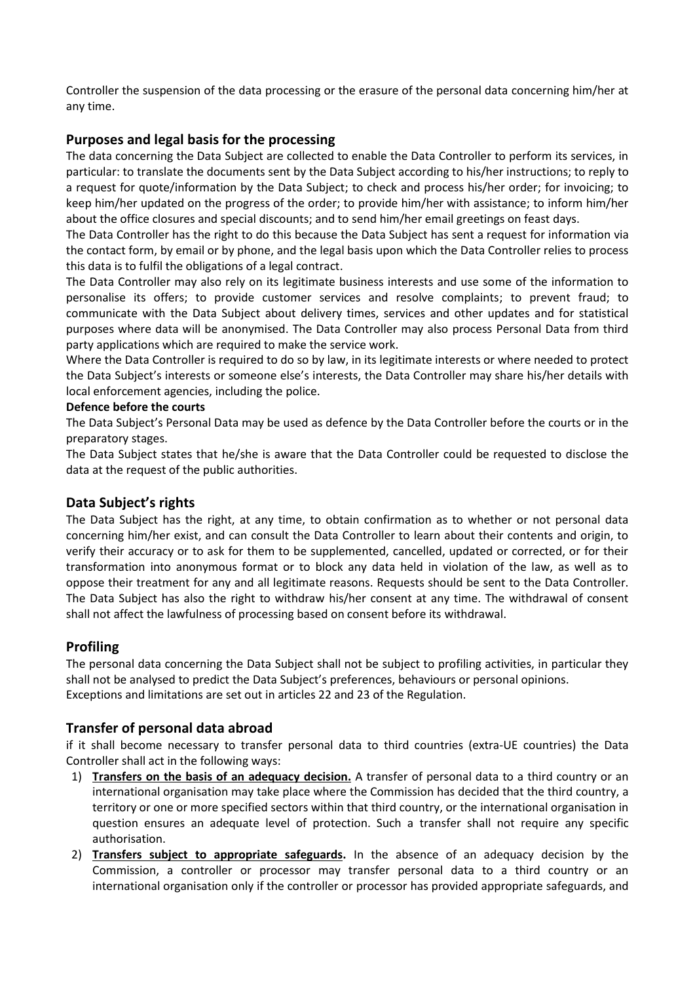Controller the suspension of the data processing or the erasure of the personal data concerning him/her at any time.

## **Purposes and legal basis for the processing**

The data concerning the Data Subject are collected to enable the Data Controller to perform its services, in particular: to translate the documents sent by the Data Subject according to his/her instructions; to reply to a request for quote/information by the Data Subject; to check and process his/her order; for invoicing; to keep him/her updated on the progress of the order; to provide him/her with assistance; to inform him/her about the office closures and special discounts; and to send him/her email greetings on feast days.

The Data Controller has the right to do this because the Data Subject has sent a request for information via the contact form, by email or by phone, and the legal basis upon which the Data Controller relies to process this data is to fulfil the obligations of a legal contract.

The Data Controller may also rely on its legitimate business interests and use some of the information to personalise its offers; to provide customer services and resolve complaints; to prevent fraud; to communicate with the Data Subject about delivery times, services and other updates and for statistical purposes where data will be anonymised. The Data Controller may also process Personal Data from third party applications which are required to make the service work.

Where the Data Controller is required to do so by law, in its legitimate interests or where needed to protect the Data Subject's interests or someone else's interests, the Data Controller may share his/her details with local enforcement agencies, including the police.

#### **Defence before the courts**

The Data Subject's Personal Data may be used as defence by the Data Controller before the courts or in the preparatory stages.

The Data Subject states that he/she is aware that the Data Controller could be requested to disclose the data at the request of the public authorities.

### **Data Subject's rights**

The Data Subject has the right, at any time, to obtain confirmation as to whether or not personal data concerning him/her exist, and can consult the Data Controller to learn about their contents and origin, to verify their accuracy or to ask for them to be supplemented, cancelled, updated or corrected, or for their transformation into anonymous format or to block any data held in violation of the law, as well as to oppose their treatment for any and all legitimate reasons. Requests should be sent to the Data Controller. The Data Subject has also the right to withdraw his/her consent at any time. The withdrawal of consent shall not affect the lawfulness of processing based on consent before its withdrawal.

### **Profiling**

The personal data concerning the Data Subject shall not be subject to profiling activities, in particular they shall not be analysed to predict the Data Subject's preferences, behaviours or personal opinions. Exceptions and limitations are set out in articles 22 and 23 of the Regulation.

## **Transfer of personal data abroad**

if it shall become necessary to transfer personal data to third countries (extra-UE countries) the Data Controller shall act in the following ways:

- 1) **Transfers on the basis of an adequacy decision.** A transfer of personal data to a third country or an international organisation may take place where the Commission has decided that the third country, a territory or one or more specified sectors within that third country, or the international organisation in question ensures an adequate level of protection. Such a transfer shall not require any specific authorisation.
- 2) **Transfers subject to appropriate safeguards.** In the absence of an adequacy decision by the Commission, a controller or processor may transfer personal data to a third country or an international organisation only if the controller or processor has provided appropriate safeguards, and